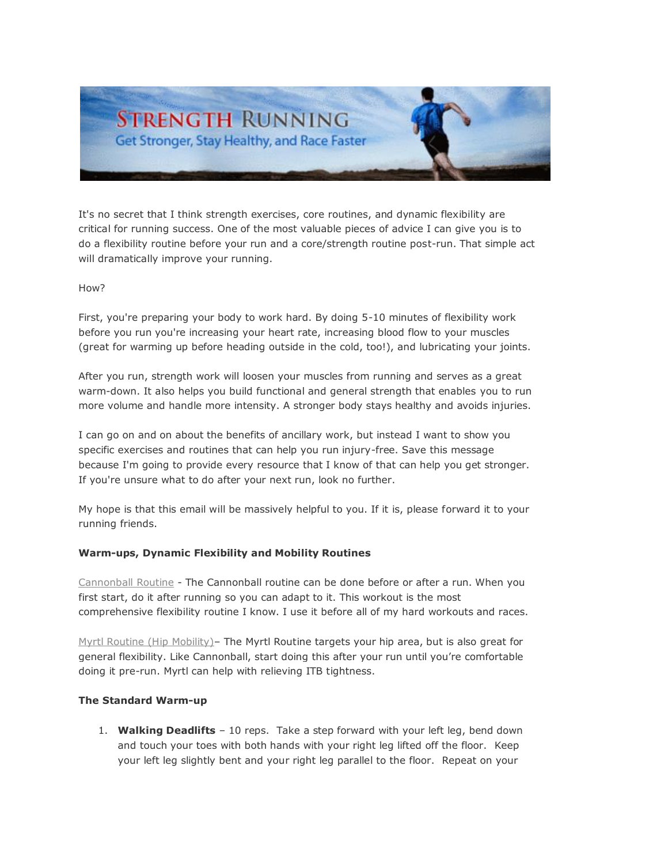

It's no secret that I think strength exercises, core routines, and dynamic flexibility are critical for running success. One of the most valuable pieces of advice I can give you is to do a flexibility routine before your run and a core/strength routine post-run. That simple act will dramatically improve your running.

## How?

First, you're preparing your body to work hard. By doing 5-10 minutes of flexibility work before you run you're increasing your heart rate, increasing blood flow to your muscles (great for warming up before heading outside in the cold, too!), and lubricating your joints.

After you run, strength work will loosen your muscles from running and serves as a great warm-down. It also helps you build functional and general strength that enables you to run more volume and handle more intensity. A stronger body stays healthy and avoids injuries.

I can go on and on about the benefits of ancillary work, but instead I want to show you specific exercises and routines that can help you run injury-free. Save this message because I'm going to provide every resource that I know of that can help you get stronger. If you're unsure what to do after your next run, look no further.

My hope is that this email will be massively helpful to you. If it is, please forward it to your running friends.

### **Warm-ups, Dynamic Flexibility and Mobility Routines**

[Cannonball Routine](http://www.youtube.com/watch?v=jZ4U-7mcCSo) - The Cannonball routine can be done before or after a run. When you first start, do it after running so you can adapt to it. This workout is the most comprehensive flexibility routine I know. I use it before all of my hard workouts and races.

[Myrtl Routine \(Hip Mobility\)](http://us1.campaign-archive.com/?u=0196b60c5541bdc03ef70df12&id=9a72275cc4&e=519d6d3407)– The Myrtl Routine targets your hip area, but is also great for general flexibility. Like Cannonball, start doing this after your run until you're comfortable doing it pre-run. Myrtl can help with relieving ITB tightness.

### **The Standard Warm-up**

1. **Walking Deadlifts** – 10 reps. Take a step forward with your left leg, bend down and touch your toes with both hands with your right leg lifted off the floor. Keep your left leg slightly bent and your right leg parallel to the floor. Repeat on your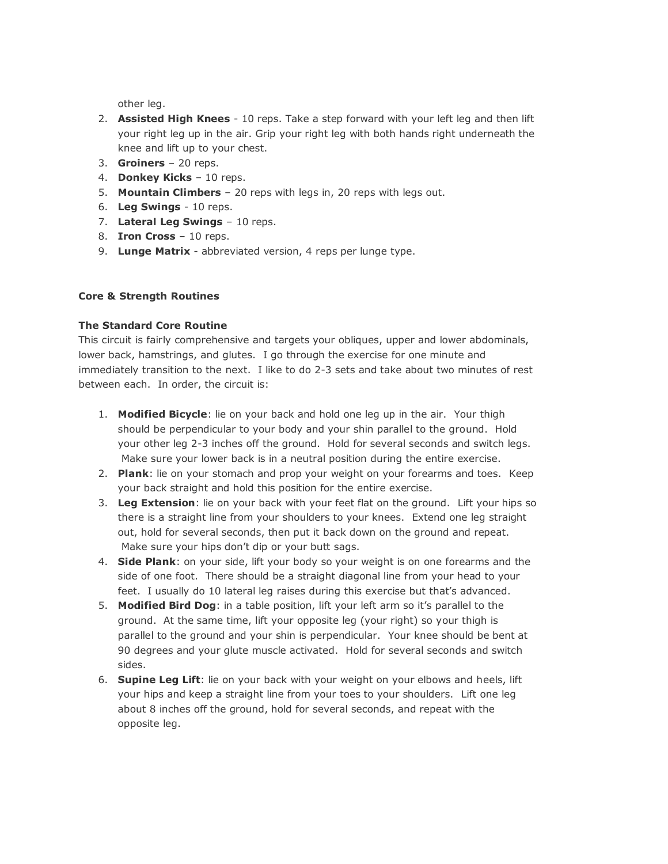other leg.

- 2. **Assisted High Knees** 10 reps. Take a step forward with your left leg and then lift your right leg up in the air. Grip your right leg with both hands right underneath the knee and lift up to your chest.
- 3. **Groiners** 20 reps.
- 4. **Donkey Kicks** 10 reps.
- 5. **Mountain Climbers** 20 reps with legs in, 20 reps with legs out.
- 6. **Leg Swings** 10 reps.
- 7. **Lateral Leg Swings** 10 reps.
- 8. **Iron Cross** 10 reps.
- 9. **Lunge Matrix** abbreviated version, 4 reps per lunge type.

# **Core & Strength Routines**

## **The Standard Core Routine**

This circuit is fairly comprehensive and targets your obliques, upper and lower abdominals, lower back, hamstrings, and glutes. I go through the exercise for one minute and immediately transition to the next. I like to do 2-3 sets and take about two minutes of rest between each. In order, the circuit is:

- 1. **Modified Bicycle**: lie on your back and hold one leg up in the air. Your thigh should be perpendicular to your body and your shin parallel to the ground. Hold your other leg 2-3 inches off the ground. Hold for several seconds and switch legs. Make sure your lower back is in a neutral position during the entire exercise.
- 2. **Plank**: lie on your stomach and prop your weight on your forearms and toes. Keep your back straight and hold this position for the entire exercise.
- 3. **Leg Extension**: lie on your back with your feet flat on the ground. Lift your hips so there is a straight line from your shoulders to your knees. Extend one leg straight out, hold for several seconds, then put it back down on the ground and repeat. Make sure your hips don't dip or your butt sags.
- 4. **Side Plank**: on your side, lift your body so your weight is on one forearms and the side of one foot. There should be a straight diagonal line from your head to your feet. I usually do 10 lateral leg raises during this exercise but that's advanced.
- 5. **Modified Bird Dog**: in a table position, lift your left arm so it's parallel to the ground. At the same time, lift your opposite leg (your right) so your thigh is parallel to the ground and your shin is perpendicular. Your knee should be bent at 90 degrees and your glute muscle activated. Hold for several seconds and switch sides.
- 6. **Supine Leg Lift**: lie on your back with your weight on your elbows and heels, lift your hips and keep a straight line from your toes to your shoulders. Lift one leg about 8 inches off the ground, hold for several seconds, and repeat with the opposite leg.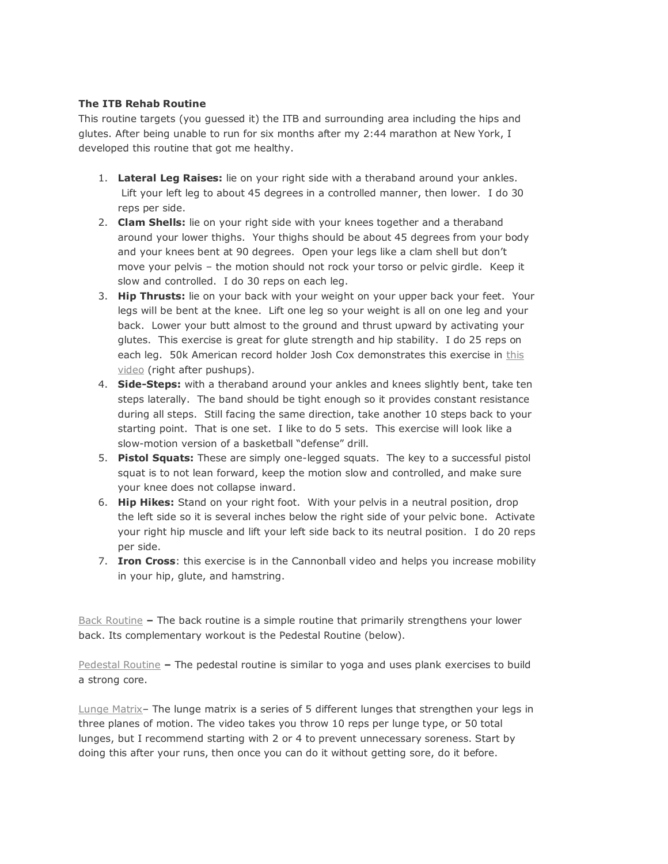## **The ITB Rehab Routine**

This routine targets (you guessed it) the ITB and surrounding area including the hips and glutes. After being unable to run for six months after my 2:44 marathon at New York, I developed this routine that got me healthy.

- 1. **Lateral Leg Raises:** lie on your right side with a theraband around your ankles. Lift your left leg to about 45 degrees in a controlled manner, then lower. I do 30 reps per side.
- 2. **Clam Shells:** lie on your right side with your knees together and a theraband around your lower thighs. Your thighs should be about 45 degrees from your body and your knees bent at 90 degrees. Open your legs like a clam shell but don't move your pelvis – the motion should not rock your torso or pelvic girdle. Keep it slow and controlled. I do 30 reps on each leg.
- 3. **Hip Thrusts:** lie on your back with your weight on your upper back your feet. Your legs will be bent at the knee. Lift one leg so your weight is all on one leg and your back. Lower your butt almost to the ground and thrust upward by activating your glutes. This exercise is great for glute strength and hip stability. I do 25 reps on each leg. 50k American record holder Josh Cox demonstrates this exercise in [this](http://www.runnersworld.com/video?moreUrl=http://link.brightcove.com/services/link/bcpid1243489102/bclid1497991481/bctid1368763974?src=rss)  [video](http://www.runnersworld.com/video?moreUrl=http://link.brightcove.com/services/link/bcpid1243489102/bclid1497991481/bctid1368763974?src=rss) (right after pushups).
- 4. **Side-Steps:** with a theraband around your ankles and knees slightly bent, take ten steps laterally. The band should be tight enough so it provides constant resistance during all steps. Still facing the same direction, take another 10 steps back to your starting point. That is one set. I like to do 5 sets. This exercise will look like a slow-motion version of a basketball "defense" drill.
- 5. **Pistol Squats:** These are simply one-legged squats. The key to a successful pistol squat is to not lean forward, keep the motion slow and controlled, and make sure your knee does not collapse inward.
- 6. **Hip Hikes:** Stand on your right foot. With your pelvis in a neutral position, drop the left side so it is several inches below the right side of your pelvic bone. Activate your right hip muscle and lift your left side back to its neutral position. I do 20 reps per side.
- 7. **Iron Cross**: this exercise is in the Cannonball video and helps you increase mobility in your hip, glute, and hamstring.

[Back Routine](http://www.youtube.com/watch?v=9KRpJg7r7bE) **–** The back routine is a simple routine that primarily strengthens your lower back. Its complementary workout is the Pedestal Routine (below).

[Pedestal Routine](http://www.youtube.com/watch?v=xS8jhZq1pJo) **–** The pedestal routine is similar to yoga and uses plank exercises to build a strong core.

[Lunge Matrix](http://www.youtube.com/watch?v=-K_CiRml-vQ)– The lunge matrix is a series of 5 different lunges that strengthen your legs in three planes of motion. The video takes you throw 10 reps per lunge type, or 50 total lunges, but I recommend starting with 2 or 4 to prevent unnecessary soreness. Start by doing this after your runs, then once you can do it without getting sore, do it before.